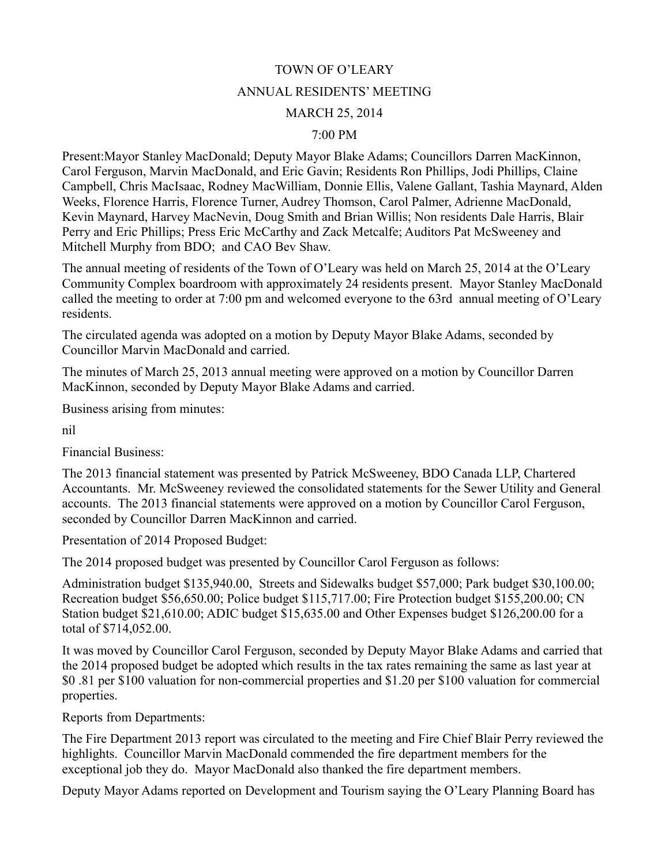## TOWN OF O'LEARY ANNUAL RESIDENTS' MEETING MARCH 25, 2014

## 7:00 PM

Present:Mayor Stanley MacDonald; Deputy Mayor Blake Adams; Councillors Darren MacKinnon, Carol Ferguson, Marvin MacDonald, and Eric Gavin; Residents Ron Phillips, Jodi Phillips, Claine Campbell, Chris MacIsaac, Rodney MacWilliam, Donnie Ellis, Valene Gallant, Tashia Maynard, Alden Weeks, Florence Harris, Florence Turner, Audrey Thomson, Carol Palmer, Adrienne MacDonald, Kevin Maynard, Harvey MacNevin, Doug Smith and Brian Willis; Non residents Dale Harris, Blair Perry and Eric Phillips; Press Eric McCarthy and Zack Metcalfe; Auditors Pat McSweeney and Mitchell Murphy from BDO; and CAO Bev Shaw.

The annual meeting of residents of the Town of O'Leary was held on March 25, 2014 at the O'Leary Community Complex boardroom with approximately 24 residents present. Mayor Stanley MacDonald called the meeting to order at 7:00 pm and welcomed everyone to the 63rd annual meeting of O'Leary residents.

The circulated agenda was adopted on a motion by Deputy Mayor Blake Adams, seconded by Councillor Marvin MacDonald and carried.

The minutes of March 25, 2013 annual meeting were approved on a motion by Councillor Darren MacKinnon, seconded by Deputy Mayor Blake Adams and carried.

Business arising from minutes:

nil

Financial Business:

The 2013 financial statement was presented by Patrick McSweeney, BDO Canada LLP, Chartered Accountants. Mr. McSweeney reviewed the consolidated statements for the Sewer Utility and General accounts. The 2013 financial statements were approved on a motion by Councillor Carol Ferguson, seconded by Councillor Darren MacKinnon and carried.

Presentation of 2014 Proposed Budget:

The 2014 proposed budget was presented by Councillor Carol Ferguson as follows:

Administration budget \$135,940.00, Streets and Sidewalks budget \$57,000; Park budget \$30,100.00; Recreation budget \$56,650.00; Police budget \$115,717.00; Fire Protection budget \$155,200.00; CN Station budget \$21,610.00; ADIC budget \$15,635.00 and Other Expenses budget \$126,200.00 for a total of \$714,052.00.

It was moved by Councillor Carol Ferguson, seconded by Deputy Mayor Blake Adams and carried that the 2014 proposed budget be adopted which results in the tax rates remaining the same as last year at \$0 .81 per \$100 valuation for non-commercial properties and \$1.20 per \$100 valuation for commercial properties.

Reports from Departments:

The Fire Department 2013 report was circulated to the meeting and Fire Chief Blair Perry reviewed the highlights. Councillor Marvin MacDonald commended the fire department members for the exceptional job they do. Mayor MacDonald also thanked the fire department members.

Deputy Mayor Adams reported on Development and Tourism saying the O'Leary Planning Board has